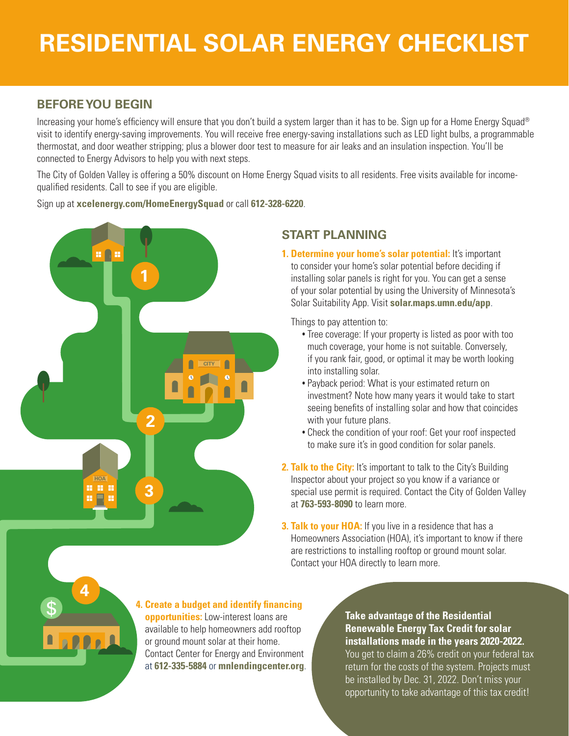# **RESIDENTIAL SOLAR ENERGY CHECKLIST**

### **BEFORE YOU BEGIN**

Increasing your home's efficiency will ensure that you don't build a system larger than it has to be. Sign up for a Home Energy Squad® visit to identify energy-saving improvements. You will receive free energy-saving installations such as LED light bulbs, a programmable thermostat, and door weather stripping; plus a blower door test to measure for air leaks and an insulation inspection. You'll be connected to Energy Advisors to help you with next steps.

The City of Golden Valley is offering a 50% discount on Home Energy Squad visits to all residents. Free visits available for incomequalified residents. Call to see if you are eligible.

Sign up at **xcelenergy.com/HomeEnergySquad** or call **612-328-6220**.



## **START PLANNING**

**1. Determine your home's solar potential:** It's important to consider your home's solar potential before deciding if installing solar panels is right for you. You can get a sense of your solar potential by using the University of Minnesota's Solar Suitability App. Visit **solar.maps.umn.edu/app**.

Things to pay attention to:

- **•** Tree coverage: If your property is listed as poor with too much coverage, your home is not suitable. Conversely, if you rank fair, good, or optimal it may be worth looking into installing solar.
- **•** Payback period: What is your estimated return on investment? Note how many years it would take to start seeing benefits of installing solar and how that coincides with your future plans.
- **•** Check the condition of your roof: Get your roof inspected to make sure it's in good condition for solar panels.
- **2. Talk to the City:** It's important to talk to the City's Building Inspector about your project so you know if a variance or special use permit is required. Contact the City of Golden Valley at **763-593-8090** to learn more.
- **3. Talk to your HOA:** If you live in a residence that has a Homeowners Association (HOA), it's important to know if there are restrictions to installing rooftop or ground mount solar. Contact your HOA directly to learn more.



**4. Create a budget and identify financing opportunities:** Low-interest loans are available to help homeowners add rooftop or ground mount solar at their home. Contact Center for Energy and Environment at **612-335-5884** or **mnlendingcenter.org**.

**Take advantage of the Residential Renewable Energy Tax Credit for solar installations made in the years 2020-2022.** You get to claim a 26% credit on your federal tax return for the costs of the system. Projects must be installed by Dec. 31, 2022. Don't miss your opportunity to take advantage of this tax credit!